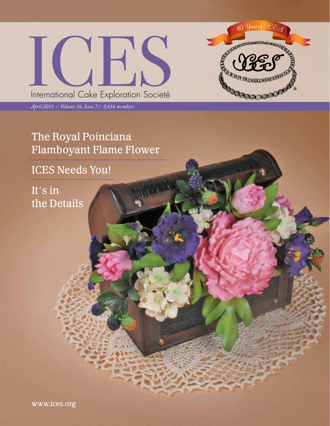



*April 2015 / Volume 36, Issue 7 / 2,616 members*

# The Royal Poinciana Flamboyant Flame Flower

## ICES Needs You!

It's in the Details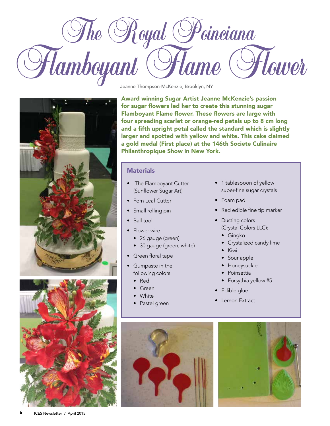





Jeanne Thompson-McKenzie, Brooklyn, NY

Award winning Sugar Artist Jeanne McKenzie's passion for sugar flowers led her to create this stunning sugar Flamboyant Flame flower. These flowers are large with four spreading scarlet or orange-red petals up to 8 cm long and a fifth upright petal called the standard which is slightly larger and spotted with yellow and white. This cake claimed a gold medal (First place) at the 146th Societe Culinaire Philanthropique Show in New York.

#### **Materials**

- The Flamboyant Cutter (Sunflower Sugar Art)
- Fern Leaf Cutter
- Small rolling pin
- Ball tool
- Flower wire
	- 26 gauge (green)
	- 30 gauge (green, white)
- Green floral tape
- Gumpaste in the following colors:
	- Red
	- Green
	- White
	- Pastel green



- 1 tablespoon of yellow super-fine sugar crystals
- Foam pad
- Red edible fine tip marker
- Dusting colors (Crystal Colors LLC):
	- Gingko
	- Crystalized candy lime
	- Kiwi
	- Sour apple
	- Honeysuckle
	- Poinsettia
	- Forsythia yellow #5
- Edible glue
- Lemon Extract

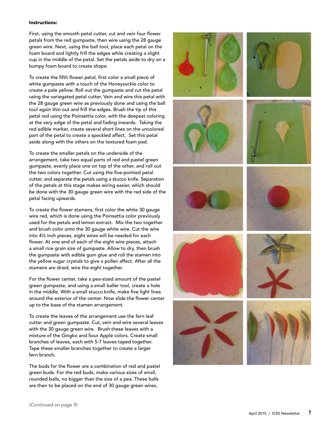#### Instructions:

First, using the smooth petal cutter, cut and vein four flower petals from the red gumpaste, then wire using the 28 gauge green wire. Next, using the ball tool, place each petal on the foam board and lightly frill the edges while creating a slight cup in the middle of the petal. Set the petals aside to dry on a bumpy foam board to create shape.

To create the fifth flower petal, first color a small piece of white gumpaste with a touch of the Honeysuckle color to create a pale yellow. Roll out the gumpaste and cut the petal using the variegated petal cutter. Vein and wire this petal with the 28 gauge green wire as previously done and using the ball tool again thin out and frill the edges. Brush the tip of this petal red using the Poinsettia color, with the deepest coloring at the very edge of the petal and fading inwards. Taking the red edible marker, create several short lines on the uncolored part of the petal to create a speckled affect. Set this petal aside along with the others on the textured foam pad.

To create the smaller petals on the underside of the arrangement, take two equal parts of red and pastel green gumpaste, evenly place one on top of the other, and roll out the two colors together. Cut using the five-pointed petal cutter, and separate the petals using a stucco knife. Separation of the petals at this stage makes wiring easier, which should be done with the 30 gauge green wire with the red side of the petal facing upwards.

To create the flower stamens, first color the white 30 gauge wire red, which is done using the Poinsettia color previously used for the petals and lemon extract. Mix the two together and brush color onto the 30 gauge white wire. Cut the wire into 4½ inch pieces, eight wires will be needed for each flower. At one end of each of the eight wire pieces, attach a small rice grain size of gumpaste. Allow to dry, then brush the gumpaste with edible gum glue and roll the stamen into the yellow sugar crystals to give a pollen affect. After all the stamens are dried, wire the eight together.

For the flower center, take a pea-sized amount of the pastel green gumpaste, and using a small baller tool, create a hole in the middle. With a small stucco knife, make five light lines around the exterior of the center. Now slide the flower center up to the base of the stamen arrangement.

To create the leaves of the arrangement use the fern leaf cutter and green gumpaste. Cut, vein and wire several leaves with the 30 gauge green wire. Brush these leaves with a mixture of the Gingko and Sour Apple colors. Create small branches of leaves, each with 5-7 leaves taped together. Tape these smaller branches together to create a larger fern branch.

The buds for the flower are a combination of red and pastel green buds. For the red buds, make various sizes of small, rounded balls, no bigger than the size of a pea. These balls are then to be placed on the end of 30 gauge green wires,